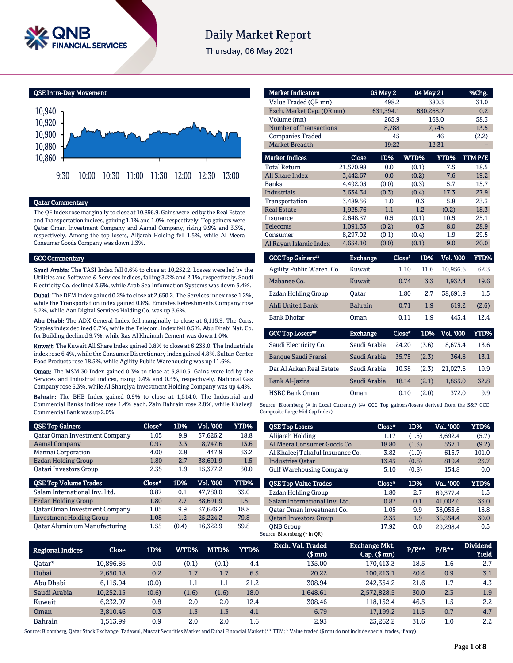

# **Daily Market Report**

Thursday, 06 May 2021

QSE Intra-Day Movement



#### Qatar Commentary

The QE Index rose marginally to close at 10,896.9. Gains were led by the Real Estate and Transportation indices, gaining 1.1% and 1.0%, respectively. Top gainers were Qatar Oman Investment Company and Aamal Company, rising 9.9% and 3.3%, respectively. Among the top losers, Alijarah Holding fell 1.5%, while Al Meera Consumer Goods Company was down 1.3%.

#### GCC Commentary

Saudi Arabia: The TASI Index fell 0.6% to close at 10,252.2. Losses were led by the Utilities and Software & Services indices, falling 3.2% and 2.1%, respectively. Saudi Electricity Co. declined 3.6%, while Arab Sea Information Systems was down 3.4%.

Dubai: The DFM Index gained 0.2% to close at 2,650.2. The Services index rose 1.2%, while the Transportation index gained 0.8%. Emirates Refreshments Company rose 5.2%, while Aan Digital Services Holding Co. was up 3.6%.

Abu Dhabi: The ADX General Index fell marginally to close at 6,115.9. The Cons. Staples index declined 0.7%, while the Telecom. index fell 0.5%. Abu Dhabi Nat. Co. for Building declined 9.7%, while Ras Al Khaimah Cement was down 1.0%.

Kuwait: The Kuwait All Share Index gained 0.8% to close at 6,233.0. The Industrials index rose 6.4%, while the Consumer Discretionary index gained 4.8%. Sultan Center Food Products rose 18.5%, while Agility Public Warehousing was up 11.6%.

Oman: The MSM 30 Index gained 0.3% to close at 3,810.5. Gains were led by the Services and Industrial indices, rising 0.4% and 0.3%, respectively. National Gas Company rose 6.3%, while Al Sharqiya Investment Holding Company was up 4.4%.

Bahrain: The BHB Index gained 0.9% to close at 1,514.0. The Industrial and Commercial Banks indices rose 1.4% each. Zain Bahrain rose 2.8%, while Khaleeji Commercial Bank was up 2.0%.

| <b>QSE Top Gainers</b>               | Close* | 1D% | Vol. '000 | YTD% |
|--------------------------------------|--------|-----|-----------|------|
| <b>Qatar Oman Investment Company</b> | 1.05   | 9.9 | 37,626.2  | 18.8 |
| <b>Aamal Company</b>                 | 0.97   | 3.3 | 8.747.6   | 13.6 |
| Mannai Corporation                   | 4.00   | 2.8 | 447.9     | 33.2 |
| Ezdan Holding Group                  | 1.80   | 2.7 | 38.691.9  | 1.5  |
| <b>Oatari Investors Group</b>        | 2.35   | 1.9 | 15.377.2  | 30.0 |
|                                      |        |     |           |      |
| <b>QSE Top Volume Trades</b>         | Close* | 1D% | Vol. '000 | YTD% |
| Salam International Inv. Ltd.        | 0.87   | 0.1 | 47.780.0  | 33.0 |
| Ezdan Holding Group                  | 1.80   | 2.7 | 38.691.9  | 1.5  |
| <b>Qatar Oman Investment Company</b> | 1.05   | 9.9 | 37.626.2  | 18.8 |
| <b>Investment Holding Group</b>      | 1.08   | 1.2 | 25.224.2  | 79.8 |

| <b>Market Indicators</b>  |           | 05 May 21 |             | 04 May 21   | %Chg.  |
|---------------------------|-----------|-----------|-------------|-------------|--------|
| Value Traded (OR mn)      |           | 498.2     |             | 380.3       | 31.0   |
| Exch. Market Cap. (OR mn) |           | 631,394.1 |             | 630,268.7   | 0.2    |
| Volume (mn)               |           | 265.9     |             | 168.0       | 58.3   |
| Number of Transactions    |           | 8,788     |             | 7,745       | 13.5   |
| <b>Companies Traded</b>   |           | 45        |             | 46          | (2.2)  |
| <b>Market Breadth</b>     |           | 19:22     |             | 12:31       |        |
| <b>Market Indices</b>     | Close     | 1D%       | <b>WTD%</b> | <b>YTD%</b> | TTMP/E |
| <b>Total Return</b>       | 21,570.98 | 0.0       | (0.1)       | 7.5         | 18.5   |
| <b>All Share Index</b>    | 3,442.67  | 0.0       | (0.2)       | 7.6         | 19.2   |
| <b>Banks</b>              | 4,492.05  | (0.0)     | (0.3)       | 5.7         | 15.7   |
| <b>Industrials</b>        | 3,634.34  | (0.3)     | (0.4)       | 17.3        | 27.9   |
| Transportation            | 3.489.56  | 1.0       | 0.3         | 5.8         | 23.3   |
| <b>Real Estate</b>        | 1.925.76  | 1.1       | 1.2         | (0.2)       | 18.3   |
| Insurance                 | 2,648.37  | 0.5       | (0.1)       | 10.5        | 25.1   |
| Telecoms                  | 1,091.33  | (0.2)     | 0.3         | 8.0         | 28.9   |
| Consumer                  | 8,297.02  | (0.1)     | (0.4)       | 1.9         | 29.5   |
| Al Rayan Islamic Index    | 4,654.10  | (0.0)     | (0.1)       | 9.0         | 20.0   |

| <b>GCC Top Gainers**</b>   | Exchange        | Close* | 1D%   | Vol. '000 | <b>YTD%</b> |
|----------------------------|-----------------|--------|-------|-----------|-------------|
| Agility Public Wareh. Co.  | Kuwait          | 1.10   | 11.6  | 10.956.6  | 62.3        |
| Mabanee Co.                | Kuwait          | 0.74   | 3.3   | 1.932.4   | 19.6        |
| Ezdan Holding Group        | Oatar           | 1.80   | 2.7   | 38,691.9  | 1.5         |
| <b>Ahli United Bank</b>    | <b>Bahrain</b>  | 0.71   | 1.9   | 619.2     | (2.6)       |
| <b>Bank Dhofar</b>         | Oman            | 0.11   | 1.9   | 443.4     | 12.4        |
| <b>GCC Top Losers</b> "    | <b>Exchange</b> | Close* | 1D%   | Vol. '000 | <b>YTD%</b> |
| Saudi Electricity Co.      | Saudi Arabia    | 24.20  | (3.6) | 8.675.4   | 13.6        |
| <b>Banque Saudi Fransi</b> | Saudi Arabia    | 35.75  | (2.3) | 364.8     | 13.1        |
| Dar Al Arkan Real Estate   | Saudi Arabia    | 10.38  | (2.3) | 21.027.6  | 19.9        |

HSBC Bank Oman Oman 0.10 (2.0) 372.0 9.9 Source: Bloomberg (# in Local Currency) (## GCC Top gainers/losers derived from the S&P GCC Composite Large Mid Cap Index)

Bank Al-Jazira Saudi Arabia 18.14 (2.1) 1,855.0 32.8

| <b>QSE Top Losers</b>            | Close* | 1D%   | <b>Vol. '000</b> | YTD%  |
|----------------------------------|--------|-------|------------------|-------|
| Alijarah Holding                 | 1.17   | (1.5) | 3.692.4          | (5.7) |
| Al Meera Consumer Goods Co.      | 18.80  | (1.3) | 557.1            | (9.2) |
| Al Khaleej Takaful Insurance Co. | 3.82   | (1.0) | 615.7            | 101.0 |
| <b>Industries Oatar</b>          | 13.45  | (0.8) | 819.4            | 23.7  |
| <b>Gulf Warehousing Company</b>  | 5.10   | (0.8) | 154.8            | 0.0   |
|                                  |        |       |                  |       |
| <b>QSE Top Value Trades</b>      | Close* | 1D%   | Val. '000        | YTD%  |
| <b>Ezdan Holding Group</b>       | 1.80   | 2.7   | 69.377.4         | 1.5   |
| Salam International Inv. Ltd.    | 0.87   | 0.1   | 41.002.6         | 33.0  |
| Oatar Oman Investment Co.        | 1.05   | 9.9   | 38.053.6         | 18.8  |
| <b>Oatari Investors Group</b>    | 2.35   | 1.9   | 36.354.4         | 30.0  |

| <b>Regional Indices</b> | Close     | 1D%   | WTD%    | MTD%    | <b>YTD%</b> | Exch. Val. Traded<br>$$$ mm $)$ | Exchange Mkt.<br>$Cap.$ ( $$mn)$ | $P/E***$ | $P/B**$ | <b>Dividend</b><br><b>Yield</b> |
|-------------------------|-----------|-------|---------|---------|-------------|---------------------------------|----------------------------------|----------|---------|---------------------------------|
| Oatar*                  | 10.896.86 | 0.0   | (0.1)   | (0.1)   | 4.4         | 135.00                          | 170,413.3                        | 18.5     | 1.6     | 2.7                             |
| Dubai                   | 2.650.18  | 0.2   | 1.7     | 1.7     | 6.3         | 20.22                           | 100.213.1                        | 20.4     | 0.9     | 3.1                             |
| Abu Dhabi               | 6.115.94  | (0.0) | $1.1\,$ | $1.1\,$ | 21.2        | 308.94                          | 242.354.2                        | 21.6     | 1.7     | 4.3                             |
| Saudi Arabia            | 10,252.15 | (0.6) | (1.6)   | (1.6)   | 18.0        | 1,648.61                        | 2,572,828.5                      | 30.0     | 2.3     | 1.9                             |
| Kuwait                  | 6.232.97  | 0.8   | 2.0     | 2.0     | 12.4        | 308.46                          | 118.152.4                        | 46.5     | 1.5     | 2.2                             |
| Oman                    | 3.810.46  | 0.3   | 1.3     | 1.3     | 4.1         | 6.79                            | 17,199.2                         | 11.5     | 0.7     | 4.7                             |
| <b>Bahrain</b>          | 1.513.99  | 0.9   | 2.0     | 2.0     | $1.6\,$     | 2.93                            | 23.262.2                         | 31.6     | $1.0\,$ | 2.2                             |

Source: Bloomberg, Qatar Stock Exchange, Tadawul, Muscat Securities Market and Dubai Financial Market (\*\* TTM; \* Value traded (\$ mn) do not include special trades, if any)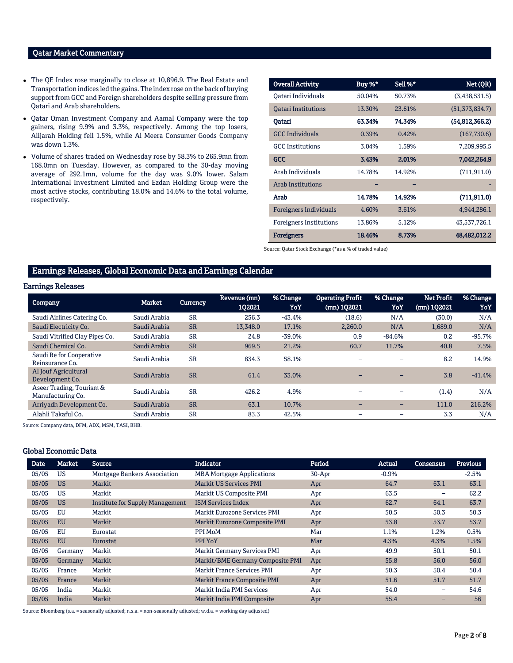### Qatar Market Commentary

- The QE Index rose marginally to close at 10,896.9. The Real Estate and Transportation indices led the gains. The index rose on the back of buying support from GCC and Foreign shareholders despite selling pressure from Qatari and Arab shareholders.
- Qatar Oman Investment Company and Aamal Company were the top gainers, rising 9.9% and 3.3%, respectively. Among the top losers, Alijarah Holding fell 1.5%, while Al Meera Consumer Goods Company was down 1.3%.
- Volume of shares traded on Wednesday rose by 58.3% to 265.9mn from 168.0mn on Tuesday. However, as compared to the 30-day moving average of 292.1mn, volume for the day was 9.0% lower. Salam International Investment Limited and Ezdan Holding Group were the most active stocks, contributing 18.0% and 14.6% to the total volume, respectively.

| <b>Overall Activity</b>        | Buy %* | Sell %* | Net (QR)         |
|--------------------------------|--------|---------|------------------|
| Qatari Individuals             | 50.04% | 50.73%  | (3,438,531.5)    |
| <b>Oatari Institutions</b>     | 13.30% | 23.61%  | (51, 373, 834.7) |
| Oatari                         | 63.34% | 74.34%  | (54,812,366.2)   |
| <b>GCC</b> Individuals         | 0.39%  | 0.42%   | (167,730.6)      |
| <b>GCC</b> Institutions        | 3.04%  | 1.59%   | 7,209,995.5      |
| GCC                            | 3.43%  | 2.01%   | 7,042,264.9      |
| Arab Individuals               | 14.78% | 14.92%  | (711, 911.0)     |
| <b>Arab Institutions</b>       |        |         |                  |
| Arab                           | 14.78% | 14.92%  | (711, 911.0)     |
| <b>Foreigners Individuals</b>  | 4.60%  | 3.61%   | 4,944,286.1      |
| <b>Foreigners Institutions</b> | 13.86% | 5.12%   | 43,537,726.1     |
| <b>Foreigners</b>              | 18.46% | 8.73%   | 48,482,012.2     |

Source: Qatar Stock Exchange (\*as a % of traded value)

# Earnings Releases, Global Economic Data and Earnings Calendar

#### Earnings Releases

| <b>Company</b>                                | <b>Market</b> | <b>Currency</b> | Revenue (mn)<br>102021 | % Change<br>YoY | <b>Operating Profit</b><br>(mn) 102021 | % Change<br>YoY          | <b>Net Profit</b><br>$(mn)$ 1Q2021 | % Change<br>YoY |
|-----------------------------------------------|---------------|-----------------|------------------------|-----------------|----------------------------------------|--------------------------|------------------------------------|-----------------|
| Saudi Airlines Catering Co.                   | Saudi Arabia  | <b>SR</b>       | 256.3                  | $-43.4%$        | (18.6)                                 | N/A                      | (30.0)                             | N/A             |
| Saudi Electricity Co.                         | Saudi Arabia  | <b>SR</b>       | 13,348.0               | 17.1%           | 2.260.0                                | N/A                      | 1,689.0                            | N/A             |
| Saudi Vitrified Clay Pipes Co.                | Saudi Arabia  | <b>SR</b>       | 24.8                   | $-39.0%$        | 0.9                                    | $-84.6%$                 | 0.2                                | $-95.7%$        |
| Saudi Chemical Co.                            | Saudi Arabia  | <b>SR</b>       | 969.5                  | 21.2%           | 60.7                                   | 11.7%                    | 40.8                               | 7.5%            |
| Saudi Re for Cooperative<br>Reinsurance Co.   | Saudi Arabia  | <b>SR</b>       | 834.3                  | 58.1%           |                                        | $\overline{\phantom{0}}$ | 8.2                                | 14.9%           |
| Al Jouf Agricultural<br>Development Co.       | Saudi Arabia  | <b>SR</b>       | 61.4                   | 33.0%           |                                        |                          | 3.8                                | $-41.4%$        |
| Aseer Trading, Tourism &<br>Manufacturing Co. | Saudi Arabia  | <b>SR</b>       | 426.2                  | 4.9%            |                                        | $\overline{\phantom{0}}$ | (1.4)                              | N/A             |
| Arrivadh Development Co.                      | Saudi Arabia  | <b>SR</b>       | 63.1                   | 10.7%           | $\qquad \qquad$                        | $\overline{\phantom{0}}$ | 111.0                              | 216.2%          |
| Alahli Takaful Co.                            | Saudi Arabia  | <b>SR</b>       | 83.3                   | 42.5%           |                                        |                          | 3.3                                | N/A             |

Source: Company data, DFM, ADX, MSM, TASI, BHB.

# Global Economic Data

| <b>Date</b> | <b>Market</b> | Source                          | <b>Indicator</b>                   | Period   | <b>Actual</b> | <b>Consensus</b>         | <b>Previous</b> |
|-------------|---------------|---------------------------------|------------------------------------|----------|---------------|--------------------------|-----------------|
| 05/05       | <b>US</b>     | Mortgage Bankers Association    | <b>MBA Mortgage Applications</b>   | $30-Apr$ | $-0.9%$       | -                        | $-2.5%$         |
| 05/05       | <b>US</b>     | Markit                          | <b>Markit US Services PMI</b>      | Apr      | 64.7          | 63.1                     | 63.1            |
| 05/05       | <b>US</b>     | Markit                          | Markit US Composite PMI            | Apr      | 63.5          | $\overline{\phantom{0}}$ | 62.2            |
| 05/05       | <b>US</b>     | Institute for Supply Management | <b>ISM Services Index</b>          | Apr      | 62.7          | 64.1                     | 63.7            |
| 05/05       | EU            | Markit                          | Markit Eurozone Services PMI       | Apr      | 50.5          | 50.3                     | 50.3            |
| 05/05       | <b>EU</b>     | Markit                          | Markit Eurozone Composite PMI      | Apr      | 53.8          | 53.7                     | 53.7            |
| 05/05       | EU            | Eurostat                        | PPI MoM                            | Mar      | 1.1%          | 1.2%                     | 0.5%            |
| 05/05       | EU            | Eurostat                        | PPI YoY                            | Mar      | 4.3%          | 4.3%                     | 1.5%            |
| 05/05       | Germany       | Markit                          | Markit Germany Services PMI        | Apr      | 49.9          | 50.1                     | 50.1            |
| 05/05       | Germany       | Markit                          | Markit/BME Germany Composite PMI   | Apr      | 55.8          | 56.0                     | 56.0            |
| 05/05       | France        | Markit                          | <b>Markit France Services PMI</b>  | Apr      | 50.3          | 50.4                     | 50.4            |
| 05/05       | France        | Markit                          | <b>Markit France Composite PMI</b> | Apr      | 51.6          | 51.7                     | 51.7            |
| 05/05       | India         | Markit                          | Markit India PMI Services          | Apr      | 54.0          | -                        | 54.6            |
| 05/05       | India         | Markit                          | Markit India PMI Composite         | Apr      | 55.4          |                          | 56              |

Source: Bloomberg (s.a. = seasonally adjusted; n.s.a. = non-seasonally adjusted; w.d.a. = working day adjusted)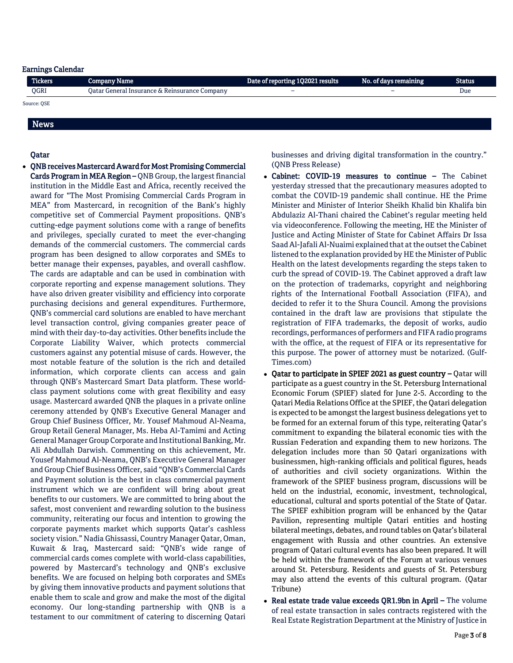# Earnings Calendar

| <b>Tickers</b> | <b>Company Name</b>                           | Date of reporting 1Q2021 results | No. of days remaining    | <b>Status</b> |
|----------------|-----------------------------------------------|----------------------------------|--------------------------|---------------|
| QGRI           | Oatar General Insurance & Reinsurance Company | $\overline{\phantom{0}}$         | $\overline{\phantom{0}}$ | Due           |
| Source: OSE    |                                               |                                  |                          |               |

# News

#### Qatar

 QNB receives Mastercard Award for Most Promising Commercial Cards Program in MEA Region – QNB Group, the largest financial institution in the Middle East and Africa, recently received the award for "The Most Promising Commercial Cards Program in MEA" from Mastercard, in recognition of the Bank's highly competitive set of Commercial Payment propositions. QNB's cutting-edge payment solutions come with a range of benefits and privileges, specially curated to meet the ever-changing demands of the commercial customers. The commercial cards program has been designed to allow corporates and SMEs to better manage their expenses, payables, and overall cashflow. The cards are adaptable and can be used in combination with corporate reporting and expense management solutions. They have also driven greater visibility and efficiency into corporate purchasing decisions and general expenditures. Furthermore, QNB's commercial card solutions are enabled to have merchant level transaction control, giving companies greater peace of mind with their day-to-day activities. Other benefits include the Corporate Liability Waiver, which protects commercial customers against any potential misuse of cards. However, the most notable feature of the solution is the rich and detailed information, which corporate clients can access and gain through QNB's Mastercard Smart Data platform. These worldclass payment solutions come with great flexibility and easy usage. Mastercard awarded QNB the plaques in a private online ceremony attended by QNB's Executive General Manager and Group Chief Business Officer, Mr. Yousef Mahmoud Al-Neama, Group Retail General Manager, Ms. Heba Al-Tamimi and Acting General Manager Group Corporate and Institutional Banking, Mr. Ali Abdullah Darwish. Commenting on this achievement, Mr. Yousef Mahmoud Al-Neama, QNB's Executive General Manager and Group Chief Business Officer, said "QNB's Commercial Cards and Payment solution is the best in class commercial payment instrument which we are confident will bring about great benefits to our customers. We are committed to bring about the safest, most convenient and rewarding solution to the business community, reiterating our focus and intention to growing the corporate payments market which supports Qatar's cashless society vision." Nadia Ghissassi, Country Manager Qatar, Oman, Kuwait & Iraq, Mastercard said: "QNB's wide range of commercial cards comes complete with world-class capabilities, powered by Mastercard's technology and QNB's exclusive benefits. We are focused on helping both corporates and SMEs by giving them innovative products and payment solutions that enable them to scale and grow and make the most of the digital economy. Our long-standing partnership with QNB is a testament to our commitment of catering to discerning Qatari

businesses and driving digital transformation in the country." (QNB Press Release)

- Cabinet: COVID-19 measures to continue The Cabinet yesterday stressed that the precautionary measures adopted to combat the COVID-19 pandemic shall continue. HE the Prime Minister and Minister of Interior Sheikh Khalid bin Khalifa bin Abdulaziz Al-Thani chaired the Cabinet's regular meeting held via videoconference. Following the meeting, HE the Minister of Justice and Acting Minister of State for Cabinet Affairs Dr Issa Saad Al-Jafali Al-Nuaimi explained that at the outset the Cabinet listened to the explanation provided by HE the Minister of Public Health on the latest developments regarding the steps taken to curb the spread of COVID-19. The Cabinet approved a draft law on the protection of trademarks, copyright and neighboring rights of the International Football Association (FIFA), and decided to refer it to the Shura Council. Among the provisions contained in the draft law are provisions that stipulate the registration of FIFA trademarks, the deposit of works, audio recordings, performances of performers and FIFA radio programs with the office, at the request of FIFA or its representative for this purpose. The power of attorney must be notarized. (Gulf-Times.com)
- Qatar to participate in SPIEF 2021 as guest country Qatar will participate as a guest country in the St. Petersburg International Economic Forum (SPIEF) slated for June 2-5. According to the Qatari Media Relations Office at the SPIEF, the Qatari delegation is expected to be amongst the largest business delegations yet to be formed for an external forum of this type, reiterating Qatar's commitment to expanding the bilateral economic ties with the Russian Federation and expanding them to new horizons. The delegation includes more than 50 Qatari organizations with businessmen, high-ranking officials and political figures, heads of authorities and civil society organizations. Within the framework of the SPIEF business program, discussions will be held on the industrial, economic, investment, technological, educational, cultural and sports potential of the State of Qatar. The SPIEF exhibition program will be enhanced by the Qatar Pavilion, representing multiple Qatari entities and hosting bilateral meetings, debates, and round tables on Qatar's bilateral engagement with Russia and other countries. An extensive program of Qatari cultural events has also been prepared. It will be held within the framework of the Forum at various venues around St. Petersburg. Residents and guests of St. Petersburg may also attend the events of this cultural program. (Qatar Tribune)
- Real estate trade value exceeds QR1.9bn in April The volume of real estate transaction in sales contracts registered with the Real Estate Registration Department at the Ministry of Justice in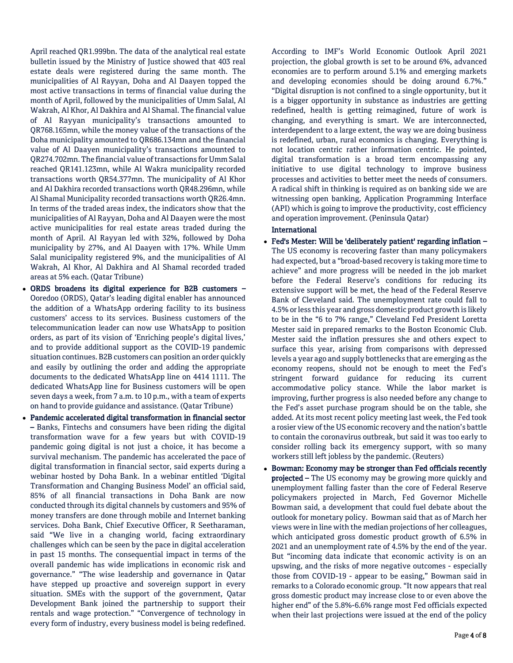April reached QR1.999bn. The data of the analytical real estate bulletin issued by the Ministry of Justice showed that 403 real estate deals were registered during the same month. The municipalities of Al Rayyan, Doha and Al Daayen topped the most active transactions in terms of financial value during the month of April, followed by the municipalities of Umm Salal, Al Wakrah, Al Khor, Al Dakhira and Al Shamal. The financial value of Al Rayyan municipality's transactions amounted to QR768.165mn, while the money value of the transactions of the Doha municipality amounted to QR686.134mn and the financial value of Al Daayen municipality's transactions amounted to QR274.702mn. The financial value of transactions for Umm Salal reached QR141.123mn, while Al Wakra municipality recorded transactions worth QR54.377mn. The municipality of Al Khor and Al Dakhira recorded transactions worth QR48.296mn, while Al Shamal Municipality recorded transactions worth QR26.4mn. In terms of the traded areas index, the indicators show that the municipalities of Al Rayyan, Doha and Al Daayen were the most active municipalities for real estate areas traded during the month of April. Al Rayyan led with 32%, followed by Doha municipality by 27%, and Al Daayen with 17%. While Umm Salal municipality registered 9%, and the municipalities of Al Wakrah, Al Khor, Al Dakhira and Al Shamal recorded traded areas at 5% each. (Qatar Tribune)

- ORDS broadens its digital experience for B2B customers Ooredoo (ORDS), Qatar's leading digital enabler has announced the addition of a WhatsApp ordering facility to its business customers' access to its services. Business customers of the telecommunication leader can now use WhatsApp to position orders, as part of its vision of 'Enriching people's digital lives,' and to provide additional support as the COVID-19 pandemic situation continues. B2B customers can position an order quickly and easily by outlining the order and adding the appropriate documents to the dedicated WhatsApp line on 4414 1111. The dedicated WhatsApp line for Business customers will be open seven days a week, from 7 a.m. to 10 p.m., with a team of experts on hand to provide guidance and assistance. (Qatar Tribune)
- Pandemic accelerated digital transformation in financial sector – Banks, Fintechs and consumers have been riding the digital transformation wave for a few years but with COVID-19 pandemic going digital is not just a choice, it has become a survival mechanism. The pandemic has accelerated the pace of digital transformation in financial sector, said experts during a webinar hosted by Doha Bank. In a webinar entitled 'Digital Transformation and Changing Business Model' an official said, 85% of all financial transactions in Doha Bank are now conducted through its digital channels by customers and 95% of money transfers are done through mobile and Internet banking services. Doha Bank, Chief Executive Officer, R Seetharaman, said "We live in a changing world, facing extraordinary challenges which can be seen by the pace in digital acceleration in past 15 months. The consequential impact in terms of the overall pandemic has wide implications in economic risk and governance." "The wise leadership and governance in Qatar have stepped up proactive and sovereign support in every situation. SMEs with the support of the government, Qatar Development Bank joined the partnership to support their rentals and wage protection." "Convergence of technology in every form of industry, every business model is being redefined.

According to IMF's World Economic Outlook April 2021 projection, the global growth is set to be around 6%, advanced economies are to perform around 5.1% and emerging markets and developing economies should be doing around 6.7%." "Digital disruption is not confined to a single opportunity, but it is a bigger opportunity in substance as industries are getting redefined, health is getting reimagined, future of work is changing, and everything is smart. We are interconnected, interdependent to a large extent, the way we are doing business is redefined, urban, rural economics is changing. Everything is not location centric rather information centric. He pointed, digital transformation is a broad term encompassing any initiative to use digital technology to improve business processes and activities to better meet the needs of consumers. A radical shift in thinking is required as on banking side we are witnessing open banking, Application Programming Interface (API) which is going to improve the productivity, cost efficiency and operation improvement. (Peninsula Qatar)

# International

- Fed's Mester: Will be 'deliberately patient' regarding inflation The US economy is recovering faster than many policymakers had expected, but a "broad-based recovery is taking more time to achieve" and more progress will be needed in the job market before the Federal Reserve's conditions for reducing its extensive support will be met, the head of the Federal Reserve Bank of Cleveland said. The unemployment rate could fall to 4.5% or less this year and gross domestic product growth is likely to be in the "6 to 7% range," Cleveland Fed President Loretta Mester said in prepared remarks to the Boston Economic Club. Mester said the inflation pressures she and others expect to surface this year, arising from comparisons with depressed levels a year ago and supply bottlenecks that are emerging as the economy reopens, should not be enough to meet the Fed's stringent forward guidance for reducing its current accommodative policy stance. While the labor market is improving, further progress is also needed before any change to the Fed's asset purchase program should be on the table, she added. At its most recent policy meeting last week, the Fed took a rosier view of the US economic recovery and the nation's battle to contain the coronavirus outbreak, but said it was too early to consider rolling back its emergency support, with so many workers still left jobless by the pandemic. (Reuters)
- Bowman: Economy may be stronger than Fed officials recently projected - The US economy may be growing more quickly and unemployment falling faster than the core of Federal Reserve policymakers projected in March, Fed Governor Michelle Bowman said, a development that could fuel debate about the outlook for monetary policy. Bowman said that as of March her views were in line with the median projections of her colleagues, which anticipated gross domestic product growth of 6.5% in 2021 and an unemployment rate of 4.5% by the end of the year. But "incoming data indicate that economic activity is on an upswing, and the risks of more negative outcomes - especially those from COVID-19 - appear to be easing," Bowman said in remarks to a Colorado economic group. "It now appears that real gross domestic product may increase close to or even above the higher end" of the 5.8%-6.6% range most Fed officials expected when their last projections were issued at the end of the policy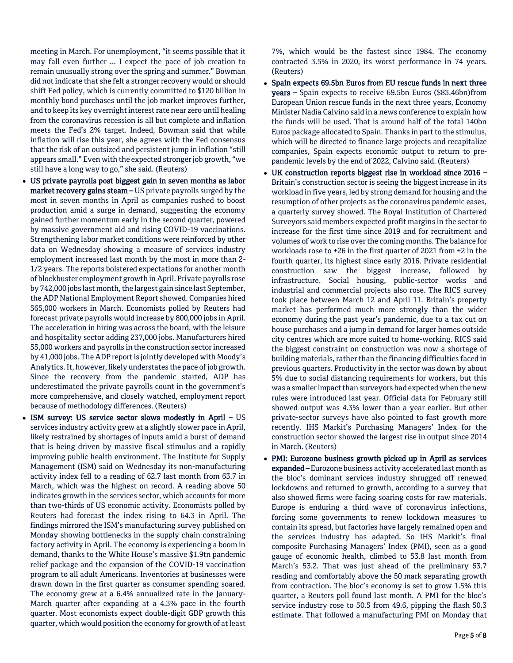meeting in March. For unemployment, "it seems possible that it may fall even further ... I expect the pace of job creation to remain unusually strong over the spring and summer." Bowman did not indicate that she felt a stronger recovery would or should shift Fed policy, which is currently committed to \$120 billion in monthly bond purchases until the job market improves further, and to keep its key overnight interest rate near zero until healing from the coronavirus recession is all but complete and inflation meets the Fed's 2% target. Indeed, Bowman said that while inflation will rise this year, she agrees with the Fed consensus that the risk of an outsized and persistent jump in inflation "still appears small." Even with the expected stronger job growth, "we still have a long way to go," she said. (Reuters)

- US private payrolls post biggest gain in seven months as labor market recovery gains steam – US private payrolls surged by the most in seven months in April as companies rushed to boost production amid a surge in demand, suggesting the economy gained further momentum early in the second quarter, powered by massive government aid and rising COVID-19 vaccinations. Strengthening labor market conditions were reinforced by other data on Wednesday showing a measure of services industry employment increased last month by the most in more than 2- 1/2 years. The reports bolstered expectations for another month of blockbuster employment growth in April. Private payrolls rose by 742,000 jobs last month, the largest gain since last September, the ADP National Employment Report showed. Companies hired 565,000 workers in March. Economists polled by Reuters had forecast private payrolls would increase by 800,000 jobs in April. The acceleration in hiring was across the board, with the leisure and hospitality sector adding 237,000 jobs. Manufacturers hired 55,000 workers and payrolls in the construction sector increased by 41,000 jobs. The ADP report is jointly developed with Moody's Analytics. It, however, likely understates the pace of job growth. Since the recovery from the pandemic started, ADP has underestimated the private payrolls count in the government's more comprehensive, and closely watched, employment report because of methodology differences. (Reuters)
- ISM survey: US service sector slows modestly in April US services industry activity grew at a slightly slower pace in April, likely restrained by shortages of inputs amid a burst of demand that is being driven by massive fiscal stimulus and a rapidly improving public health environment. The Institute for Supply Management (ISM) said on Wednesday its non-manufacturing activity index fell to a reading of 62.7 last month from 63.7 in March, which was the highest on record. A reading above 50 indicates growth in the services sector, which accounts for more than two-thirds of US economic activity. Economists polled by Reuters had forecast the index rising to 64.3 in April. The findings mirrored the ISM's manufacturing survey published on Monday showing bottlenecks in the supply chain constraining factory activity in April. The economy is experiencing a boom in demand, thanks to the White House's massive \$1.9tn pandemic relief package and the expansion of the COVID-19 vaccination program to all adult Americans. Inventories at businesses were drawn down in the first quarter as consumer spending soared. The economy grew at a 6.4% annualized rate in the January-March quarter after expanding at a 4.3% pace in the fourth quarter. Most economists expect double-digit GDP growth this quarter, which would position the economy for growth of at least

7%, which would be the fastest since 1984. The economy contracted 3.5% in 2020, its worst performance in 74 years. (Reuters)

- Spain expects 69.5bn Euros from EU rescue funds in next three years – Spain expects to receive 69.5bn Euros (\$83.46bn)from European Union rescue funds in the next three years, Economy Minister Nadia Calvino said in a news conference to explain how the funds will be used. That is around half of the total 140bn Euros package allocated to Spain. Thanks in part to the stimulus, which will be directed to finance large projects and recapitalize companies, Spain expects economic output to return to prepandemic levels by the end of 2022, Calvino said. (Reuters)
- UK construction reports biggest rise in workload since 2016 Britain's construction sector is seeing the biggest increase in its workload in five years, led by strong demand for housing and the resumption of other projects as the coronavirus pandemic eases, a quarterly survey showed. The Royal Institution of Chartered Surveyors said members expected profit margins in the sector to increase for the first time since 2019 and for recruitment and volumes of work to rise over the coming months. The balance for workloads rose to +26 in the first quarter of 2021 from +2 in the fourth quarter, its highest since early 2016. Private residential construction saw the biggest increase, followed by infrastructure. Social housing, public-sector works and industrial and commercial projects also rose. The RICS survey took place between March 12 and April 11. Britain's property market has performed much more strongly than the wider economy during the past year's pandemic, due to a tax cut on house purchases and a jump in demand for larger homes outside city centres which are more suited to home-working. RICS said the biggest constraint on construction was now a shortage of building materials, rather than the financing difficulties faced in previous quarters. Productivity in the sector was down by about 5% due to social distancing requirements for workers, but this was a smaller impact than surveyors had expected when the new rules were introduced last year. Official data for February still showed output was 4.3% lower than a year earlier. But other private-sector surveys have also pointed to fast growth more recently. IHS Markit's Purchasing Managers' Index for the construction sector showed the largest rise in output since 2014 in March. (Reuters)
- PMI: Eurozone business growth picked up in April as services expanded – Eurozone business activity accelerated last month as the bloc's dominant services industry shrugged off renewed lockdowns and returned to growth, according to a survey that also showed firms were facing soaring costs for raw materials. Europe is enduring a third wave of coronavirus infections, forcing some governments to renew lockdown measures to contain its spread, but factories have largely remained open and the services industry has adapted. So IHS Markit's final composite Purchasing Managers' Index (PMI), seen as a good gauge of economic health, climbed to 53.8 last month from March's 53.2. That was just ahead of the preliminary 53.7 reading and comfortably above the 50 mark separating growth from contraction. The bloc's economy is set to grow 1.5% this quarter, a Reuters poll found last month. A PMI for the bloc's service industry rose to 50.5 from 49.6, pipping the flash 50.3 estimate. That followed a manufacturing PMI on Monday that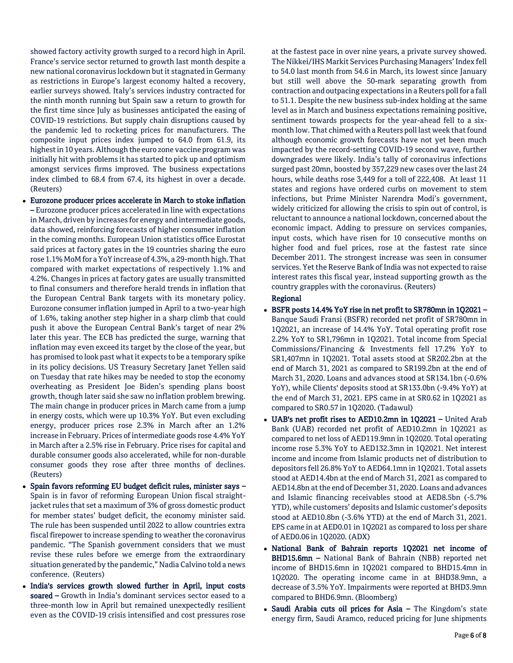showed factory activity growth surged to a record high in April. France's service sector returned to growth last month despite a new national coronavirus lockdown but it stagnated in Germany as restrictions in Europe's largest economy halted a recovery, earlier surveys showed. Italy's services industry contracted for the ninth month running but Spain saw a return to growth for the first time since July as businesses anticipated the easing of COVID-19 restrictions. But supply chain disruptions caused by the pandemic led to rocketing prices for manufacturers. The composite input prices index jumped to 64.0 from 61.9, its highest in 10 years. Although the euro zone vaccine program was initially hit with problems it has started to pick up and optimism amongst services firms improved. The business expectations index climbed to 68.4 from 67.4, its highest in over a decade. (Reuters)

- Eurozone producer prices accelerate in March to stoke inflation – Eurozone producer prices accelerated in line with expectations in March, driven by increases for energy and intermediate goods, data showed, reinforcing forecasts of higher consumer inflation in the coming months. European Union statistics office Eurostat said prices at factory gates in the 19 countries sharing the euro rose 1.1% MoM for a YoY increase of 4.3%, a 29-month high. That compared with market expectations of respectively 1.1% and 4.2%. Changes in prices at factory gates are usually transmitted to final consumers and therefore herald trends in inflation that the European Central Bank targets with its monetary policy. Eurozone consumer inflation jumped in April to a two-year high of 1.6%, taking another step higher in a sharp climb that could push it above the European Central Bank's target of near 2% later this year. The ECB has predicted the surge, warning that inflation may even exceed its target by the close of the year, but has promised to look past what it expects to be a temporary spike in its policy decisions. US Treasury Secretary Janet Yellen said on Tuesday that rate hikes may be needed to stop the economy overheating as President Joe Biden's spending plans boost growth, though later said she saw no inflation problem brewing. The main change in producer prices in March came from a jump in energy costs, which were up 10.3% YoY. But even excluding energy, producer prices rose 2.3% in March after an 1.2% increase in February. Prices of intermediate goods rose 4.4% YoY in March after a 2.5% rise in February. Price rises for capital and durable consumer goods also accelerated, while for non-durable consumer goods they rose after three months of declines. (Reuters)
- Spain favors reforming EU budget deficit rules, minister says Spain is in favor of reforming European Union fiscal straightjacket rules that set a maximum of 3% of gross domestic product for member states' budget deficit, the economy minister said. The rule has been suspended until 2022 to allow countries extra fiscal firepower to increase spending to weather the coronavirus pandemic. "The Spanish government considers that we must revise these rules before we emerge from the extraordinary situation generated by the pandemic," Nadia Calvino told a news conference. (Reuters)
- India's services growth slowed further in April, input costs soared – Growth in India's dominant services sector eased to a three-month low in April but remained unexpectedly resilient even as the COVID-19 crisis intensified and cost pressures rose

at the fastest pace in over nine years, a private survey showed. The Nikkei/IHS Markit Services Purchasing Managers' Index fell to 54.0 last month from 54.6 in March, its lowest since January but still well above the 50-mark separating growth from contraction and outpacing expectations in a Reuters poll for a fall to 51.1. Despite the new business sub-index holding at the same level as in March and business expectations remaining positive, sentiment towards prospects for the year-ahead fell to a sixmonth low. That chimed with a Reuters poll last week that found although economic growth forecasts have not yet been much impacted by the record-setting COVID-19 second wave, further downgrades were likely. India's tally of coronavirus infections surged past 20mn, boosted by 357,229 new cases over the last 24 hours, while deaths rose 3,449 for a toll of 222,408. At least 11 states and regions have ordered curbs on movement to stem infections, but Prime Minister Narendra Modi's government, widely criticized for allowing the crisis to spin out of control, is reluctant to announce a national lockdown, concerned about the economic impact. Adding to pressure on services companies, input costs, which have risen for 10 consecutive months on higher food and fuel prices, rose at the fastest rate since December 2011. The strongest increase was seen in consumer services. Yet the Reserve Bank of India was not expected to raise interest rates this fiscal year, instead supporting growth as the country grapples with the coronavirus. (Reuters)

#### Regional

- BSFR posts 14.4% YoY rise in net profit to SR780mn in 1Q2021 Banque Saudi Fransi (BSFR) recorded net profit of SR780mn in 1Q2021, an increase of 14.4% YoY. Total operating profit rose 2.2% YoY to SR1,796mn in 1Q2021. Total income from Special Commissions/Financing & Investments fell 17.2% YoY to SR1,407mn in 1Q2021. Total assets stood at SR202.2bn at the end of March 31, 2021 as compared to SR199.2bn at the end of March 31, 2020. Loans and advances stood at SR134.1bn (-0.6% YoY), while Clients' deposits stood at SR133.0bn (-9.4% YoY) at the end of March 31, 2021. EPS came in at SR0.62 in 1Q2021 as compared to SR0.57 in 1Q2020. (Tadawul)
- UAB's net profit rises to AED10.2mn in 1Q2021 United Arab Bank (UAB) recorded net profit of AED10.2mn in 1Q2021 as compared to net loss of AED119.9mn in 1Q2020. Total operating income rose 5.3% YoY to AED132.3mn in 1Q2021. Net interest income and income from Islamic products net of distribution to depositors fell 26.8% YoY to AED64.1mn in 1Q2021. Total assets stood at AED14.4bn at the end of March 31, 2021 as compared to AED14.8bn at the end of December 31, 2020. Loans and advances and Islamic financing receivables stood at AED8.5bn (-5.7% YTD), while customers' deposits and Islamic customer's deposits stood at AED10.8bn (-3.6% YTD) at the end of March 31, 2021. EPS came in at AED0.01 in 1Q2021 as compared to loss per share of AED0.06 in 1Q2020. (ADX)
- National Bank of Bahrain reports 1Q2021 net income of BHD15.6mn – National Bank of Bahrain (NBB) reported net income of BHD15.6mn in 1Q2021 compared to BHD15.4mn in 1Q2020. The operating income came in at BHD38.9mn, a decrease of 3.5% YoY. Impairments were reported at BHD3.9mn compared to BHD6.9mn. (Bloomberg)
- Saudi Arabia cuts oil prices for Asia The Kingdom's state energy firm, Saudi Aramco, reduced pricing for June shipments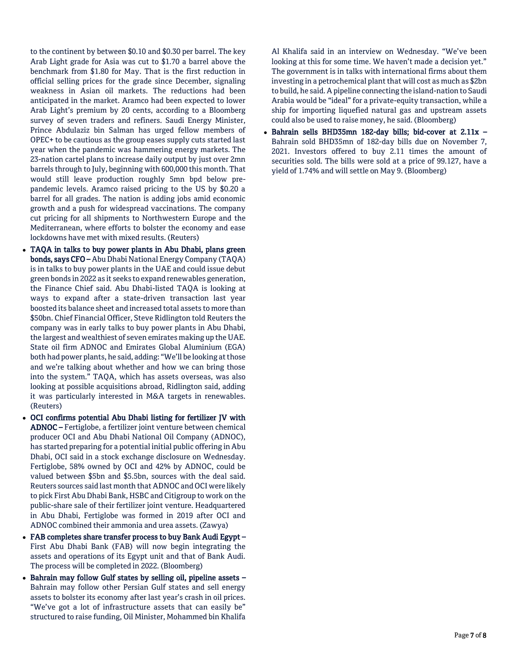to the continent by between \$0.10 and \$0.30 per barrel. The key Arab Light grade for Asia was cut to \$1.70 a barrel above the benchmark from \$1.80 for May. That is the first reduction in official selling prices for the grade since December, signaling weakness in Asian oil markets. The reductions had been anticipated in the market. Aramco had been expected to lower Arab Light's premium by 20 cents, according to a Bloomberg survey of seven traders and refiners. Saudi Energy Minister, Prince Abdulaziz bin Salman has urged fellow members of OPEC+ to be cautious as the group eases supply cuts started last year when the pandemic was hammering energy markets. The 23-nation cartel plans to increase daily output by just over 2mn barrels through to July, beginning with 600,000 this month. That would still leave production roughly 5mn bpd below prepandemic levels. Aramco raised pricing to the US by \$0.20 a barrel for all grades. The nation is adding jobs amid economic growth and a push for widespread vaccinations. The company cut pricing for all shipments to Northwestern Europe and the Mediterranean, where efforts to bolster the economy and ease lockdowns have met with mixed results. (Reuters)

- TAQA in talks to buy power plants in Abu Dhabi, plans green bonds, says CFO – Abu Dhabi National Energy Company (TAQA) is in talks to buy power plants in the UAE and could issue debut green bonds in 2022 as it seeks to expand renewables generation, the Finance Chief said. Abu Dhabi-listed TAQA is looking at ways to expand after a state-driven transaction last year boosted its balance sheet and increased total assets to more than \$50bn. Chief Financial Officer, Steve Ridlington told Reuters the company was in early talks to buy power plants in Abu Dhabi, the largest and wealthiest of seven emirates making up the UAE. State oil firm ADNOC and Emirates Global Aluminium (EGA) both had power plants, he said, adding: "We'll be looking at those and we're talking about whether and how we can bring those into the system." TAQA, which has assets overseas, was also looking at possible acquisitions abroad, Ridlington said, adding it was particularly interested in M&A targets in renewables. (Reuters)
- OCI confirms potential Abu Dhabi listing for fertilizer JV with ADNOC – Fertiglobe, a fertilizer joint venture between chemical producer OCI and Abu Dhabi National Oil Company (ADNOC), has started preparing for a potential initial public offering in Abu Dhabi, OCI said in a stock exchange disclosure on Wednesday. Fertiglobe, 58% owned by OCI and 42% by ADNOC, could be valued between \$5bn and \$5.5bn, sources with the deal said. Reuters sources said last month that ADNOC and OCI were likely to pick First Abu Dhabi Bank, HSBC and Citigroup to work on the public-share sale of their fertilizer joint venture. Headquartered in Abu Dhabi, Fertiglobe was formed in 2019 after OCI and ADNOC combined their ammonia and urea assets. (Zawya)
- FAB completes share transfer process to buy Bank Audi Egypt First Abu Dhabi Bank (FAB) will now begin integrating the assets and operations of its Egypt unit and that of Bank Audi. The process will be completed in 2022. (Bloomberg)
- Bahrain may follow Gulf states by selling oil, pipeline assets Bahrain may follow other Persian Gulf states and sell energy assets to bolster its economy after last year's crash in oil prices. "We've got a lot of infrastructure assets that can easily be" structured to raise funding, Oil Minister, Mohammed bin Khalifa

Al Khalifa said in an interview on Wednesday. "We've been looking at this for some time. We haven't made a decision yet." The government is in talks with international firms about them investing in a petrochemical plant that will cost as much as \$2bn to build, he said. A pipeline connecting the island-nation to Saudi Arabia would be "ideal" for a private-equity transaction, while a ship for importing liquefied natural gas and upstream assets could also be used to raise money, he said. (Bloomberg)

 Bahrain sells BHD35mn 182-day bills; bid-cover at 2.11x – Bahrain sold BHD35mn of 182-day bills due on November 7, 2021. Investors offered to buy 2.11 times the amount of securities sold. The bills were sold at a price of 99.127, have a yield of 1.74% and will settle on May 9. (Bloomberg)